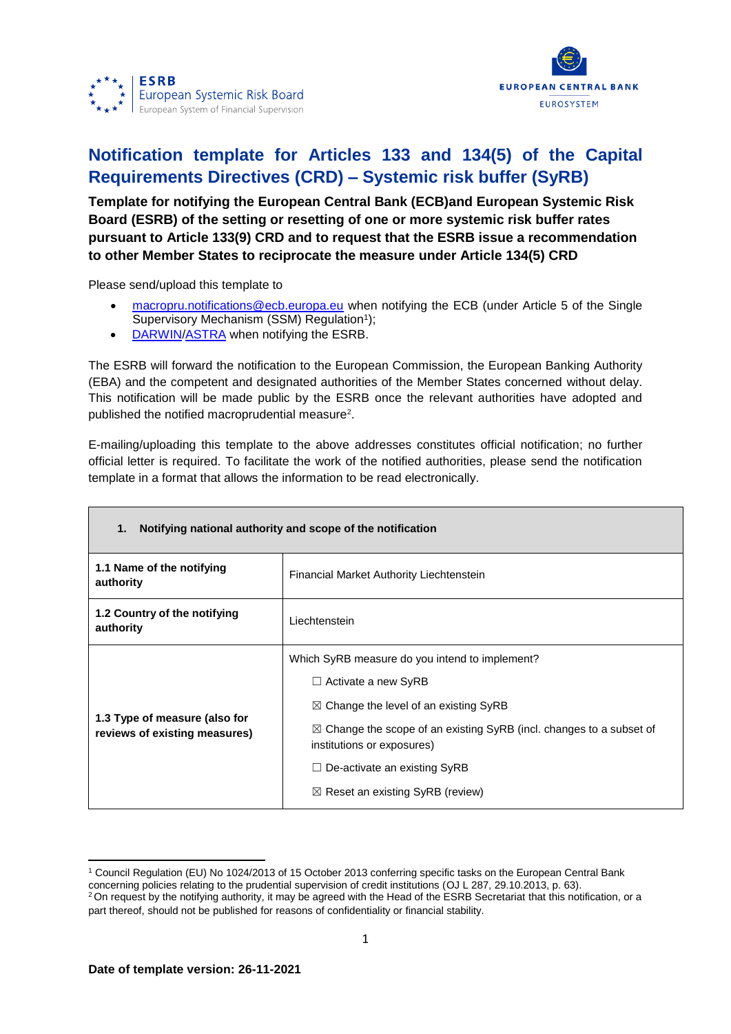



## **Notification template for Articles 133 and 134(5) of the Capital Requirements Directives (CRD) – Systemic risk buffer (SyRB)**

**Template for notifying the European Central Bank (ECB)and European Systemic Risk Board (ESRB) of the setting or resetting of one or more systemic risk buffer rates pursuant to Article 133(9) CRD and to request that the ESRB issue a recommendation to other Member States to reciprocate the measure under Article 134(5) CRD**

Please send/upload this template to

- [macropru.notifications@ecb.europa.eu](mailto:macropru.notifications@ecb.europa.eu) when notifying the ECB (under Article 5 of the Single Supervisory Mechanism (SSM) Regulation<sup>1</sup>);
- [DARWIN](https://darwin.escb.eu/livelink/livelink/app/nodes/338122349)[/ASTRA](https://id.ecb.europa.eu/login/) when notifying the ESRB.

The ESRB will forward the notification to the European Commission, the European Banking Authority (EBA) and the competent and designated authorities of the Member States concerned without delay. This notification will be made public by the ESRB once the relevant authorities have adopted and published the notified macroprudential measure<sup>2</sup>.

E-mailing/uploading this template to the above addresses constitutes official notification; no further official letter is required. To facilitate the work of the notified authorities, please send the notification template in a format that allows the information to be read electronically.

| Notifying national authority and scope of the notification<br>1. |                                                                                                                                                                                                                                                                                                                                        |  |  |
|------------------------------------------------------------------|----------------------------------------------------------------------------------------------------------------------------------------------------------------------------------------------------------------------------------------------------------------------------------------------------------------------------------------|--|--|
| 1.1 Name of the notifying<br>authority                           | Financial Market Authority Liechtenstein                                                                                                                                                                                                                                                                                               |  |  |
| 1.2 Country of the notifying<br>authority                        | Liechtenstein                                                                                                                                                                                                                                                                                                                          |  |  |
| 1.3 Type of measure (also for<br>reviews of existing measures)   | Which SyRB measure do you intend to implement?<br>$\Box$ Activate a new SyRB<br>$\boxtimes$ Change the level of an existing SyRB<br>$\boxtimes$ Change the scope of an existing SyRB (incl. changes to a subset of<br>institutions or exposures)<br>$\Box$ De-activate an existing SyRB<br>$\boxtimes$ Reset an existing SyRB (review) |  |  |

**<sup>.</sup>** <sup>1</sup> Council Regulation (EU) No 1024/2013 of 15 October 2013 conferring specific tasks on the European Central Bank concerning policies relating to the prudential supervision of credit institutions (OJ L 287, 29.10.2013, p. 63).

 $2$  On request by the notifying authority, it may be agreed with the Head of the ESRB Secretariat that this notification, or a part thereof, should not be published for reasons of confidentiality or financial stability.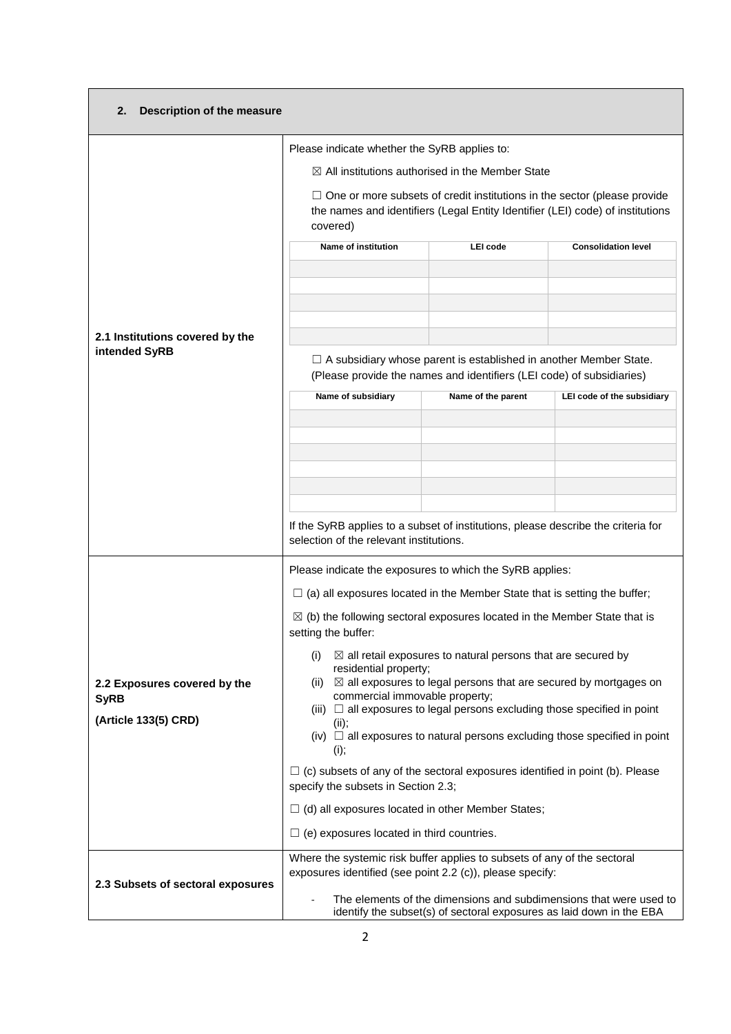| Description of the measure<br>2.  |                                                                                                                                                                               |                                                                                                                                                   |                            |  |  |
|-----------------------------------|-------------------------------------------------------------------------------------------------------------------------------------------------------------------------------|---------------------------------------------------------------------------------------------------------------------------------------------------|----------------------------|--|--|
|                                   | Please indicate whether the SyRB applies to:                                                                                                                                  |                                                                                                                                                   |                            |  |  |
|                                   |                                                                                                                                                                               | $\boxtimes$ All institutions authorised in the Member State                                                                                       |                            |  |  |
|                                   | $\Box$ One or more subsets of credit institutions in the sector (please provide<br>the names and identifiers (Legal Entity Identifier (LEI) code) of institutions<br>covered) |                                                                                                                                                   |                            |  |  |
|                                   | Name of institution                                                                                                                                                           | LEI code                                                                                                                                          | <b>Consolidation level</b> |  |  |
| 2.1 Institutions covered by the   |                                                                                                                                                                               |                                                                                                                                                   |                            |  |  |
| intended SyRB                     |                                                                                                                                                                               | $\Box$ A subsidiary whose parent is established in another Member State.<br>(Please provide the names and identifiers (LEI code) of subsidiaries) |                            |  |  |
|                                   | Name of subsidiary                                                                                                                                                            | Name of the parent                                                                                                                                | LEI code of the subsidiary |  |  |
|                                   |                                                                                                                                                                               |                                                                                                                                                   |                            |  |  |
|                                   |                                                                                                                                                                               |                                                                                                                                                   |                            |  |  |
|                                   |                                                                                                                                                                               |                                                                                                                                                   |                            |  |  |
|                                   |                                                                                                                                                                               |                                                                                                                                                   |                            |  |  |
|                                   | If the SyRB applies to a subset of institutions, please describe the criteria for<br>selection of the relevant institutions.                                                  |                                                                                                                                                   |                            |  |  |
|                                   | Please indicate the exposures to which the SyRB applies:                                                                                                                      |                                                                                                                                                   |                            |  |  |
|                                   | $\Box$ (a) all exposures located in the Member State that is setting the buffer;                                                                                              |                                                                                                                                                   |                            |  |  |
|                                   | $\boxtimes$ (b) the following sectoral exposures located in the Member State that is<br>setting the buffer:                                                                   |                                                                                                                                                   |                            |  |  |
|                                   | $\boxtimes$ all retail exposures to natural persons that are secured by<br>(i)                                                                                                |                                                                                                                                                   |                            |  |  |
| 2.2 Exposures covered by the      | residential property;<br>(ii) $\boxtimes$ all exposures to legal persons that are secured by mortgages on                                                                     |                                                                                                                                                   |                            |  |  |
| <b>SyRB</b>                       | commercial immovable property;<br>(iii) $\Box$ all exposures to legal persons excluding those specified in point                                                              |                                                                                                                                                   |                            |  |  |
| (Article 133(5) CRD)              | (ii);<br>(iv) $\Box$ all exposures to natural persons excluding those specified in point                                                                                      |                                                                                                                                                   |                            |  |  |
|                                   | (i);                                                                                                                                                                          |                                                                                                                                                   |                            |  |  |
|                                   | $\Box$ (c) subsets of any of the sectoral exposures identified in point (b). Please<br>specify the subsets in Section 2.3;                                                    |                                                                                                                                                   |                            |  |  |
|                                   | $\Box$ (d) all exposures located in other Member States;                                                                                                                      |                                                                                                                                                   |                            |  |  |
|                                   | $\Box$ (e) exposures located in third countries.                                                                                                                              |                                                                                                                                                   |                            |  |  |
|                                   | Where the systemic risk buffer applies to subsets of any of the sectoral<br>exposures identified (see point 2.2 (c)), please specify:                                         |                                                                                                                                                   |                            |  |  |
| 2.3 Subsets of sectoral exposures | The elements of the dimensions and subdimensions that were used to<br>÷,<br>identify the subset(s) of sectoral exposures as laid down in the EBA                              |                                                                                                                                                   |                            |  |  |
|                                   |                                                                                                                                                                               |                                                                                                                                                   |                            |  |  |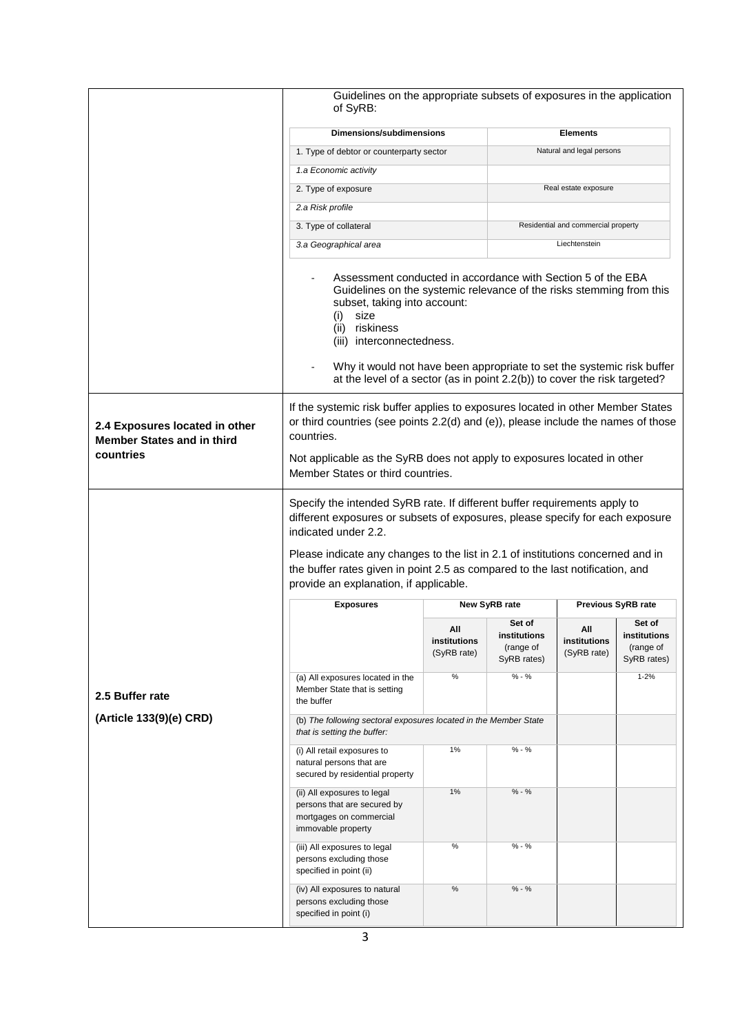|                                                                                  | Guidelines on the appropriate subsets of exposures in the application<br>of SyRB:                                                                                                                                                                                                                                                                                                                |                                    |                                          |                                     |                                          |  |
|----------------------------------------------------------------------------------|--------------------------------------------------------------------------------------------------------------------------------------------------------------------------------------------------------------------------------------------------------------------------------------------------------------------------------------------------------------------------------------------------|------------------------------------|------------------------------------------|-------------------------------------|------------------------------------------|--|
|                                                                                  | <b>Dimensions/subdimensions</b>                                                                                                                                                                                                                                                                                                                                                                  |                                    |                                          | <b>Elements</b>                     |                                          |  |
|                                                                                  | Natural and legal persons<br>1. Type of debtor or counterparty sector                                                                                                                                                                                                                                                                                                                            |                                    |                                          |                                     |                                          |  |
|                                                                                  | 1.a Economic activity                                                                                                                                                                                                                                                                                                                                                                            |                                    |                                          |                                     |                                          |  |
|                                                                                  | 2. Type of exposure                                                                                                                                                                                                                                                                                                                                                                              |                                    |                                          | Real estate exposure                |                                          |  |
|                                                                                  | 2.a Risk profile                                                                                                                                                                                                                                                                                                                                                                                 |                                    |                                          |                                     |                                          |  |
|                                                                                  | 3. Type of collateral                                                                                                                                                                                                                                                                                                                                                                            |                                    |                                          | Residential and commercial property |                                          |  |
|                                                                                  | 3.a Geographical area                                                                                                                                                                                                                                                                                                                                                                            |                                    |                                          | Liechtenstein                       |                                          |  |
|                                                                                  | Assessment conducted in accordance with Section 5 of the EBA<br>Guidelines on the systemic relevance of the risks stemming from this<br>subset, taking into account:<br>size<br>(i)<br>(ii)<br>riskiness<br>(iii) interconnectedness.<br>Why it would not have been appropriate to set the systemic risk buffer<br>at the level of a sector (as in point 2.2(b)) to cover the risk targeted?     |                                    |                                          |                                     |                                          |  |
| 2.4 Exposures located in other<br><b>Member States and in third</b><br>countries | If the systemic risk buffer applies to exposures located in other Member States<br>or third countries (see points 2.2(d) and (e)), please include the names of those<br>countries.<br>Not applicable as the SyRB does not apply to exposures located in other<br>Member States or third countries.                                                                                               |                                    |                                          |                                     |                                          |  |
|                                                                                  | Specify the intended SyRB rate. If different buffer requirements apply to<br>different exposures or subsets of exposures, please specify for each exposure<br>indicated under 2.2.<br>Please indicate any changes to the list in 2.1 of institutions concerned and in<br>the buffer rates given in point 2.5 as compared to the last notification, and<br>provide an explanation, if applicable. |                                    |                                          |                                     |                                          |  |
|                                                                                  | <b>Exposures</b>                                                                                                                                                                                                                                                                                                                                                                                 | New SyRB rate                      |                                          |                                     | Previous SyRB rate                       |  |
|                                                                                  |                                                                                                                                                                                                                                                                                                                                                                                                  | Set of                             |                                          | Set of                              |                                          |  |
|                                                                                  |                                                                                                                                                                                                                                                                                                                                                                                                  | All<br>institutions<br>(SyRB rate) | institutions<br>(range of<br>SyRB rates) | All<br>institutions<br>(SyRB rate)  | institutions<br>(range of<br>SyRB rates) |  |
| 2.5 Buffer rate                                                                  | (a) All exposures located in the<br>Member State that is setting<br>the buffer                                                                                                                                                                                                                                                                                                                   | $\%$                               | $% - %$                                  |                                     | $1 - 2%$                                 |  |
| (Article 133(9)(e) CRD)                                                          | (b) The following sectoral exposures located in the Member State<br>that is setting the buffer:                                                                                                                                                                                                                                                                                                  |                                    |                                          |                                     |                                          |  |
|                                                                                  | (i) All retail exposures to<br>natural persons that are<br>secured by residential property                                                                                                                                                                                                                                                                                                       | 1%                                 | $% - %$                                  |                                     |                                          |  |
|                                                                                  | (ii) All exposures to legal<br>persons that are secured by<br>mortgages on commercial<br>immovable property                                                                                                                                                                                                                                                                                      | 1%                                 | $% - %$                                  |                                     |                                          |  |
|                                                                                  | (iii) All exposures to legal<br>persons excluding those<br>specified in point (ii)                                                                                                                                                                                                                                                                                                               | $\%$                               | $% - %$                                  |                                     |                                          |  |
|                                                                                  | (iv) All exposures to natural<br>persons excluding those<br>specified in point (i)                                                                                                                                                                                                                                                                                                               | $\%$                               | $% - %$                                  |                                     |                                          |  |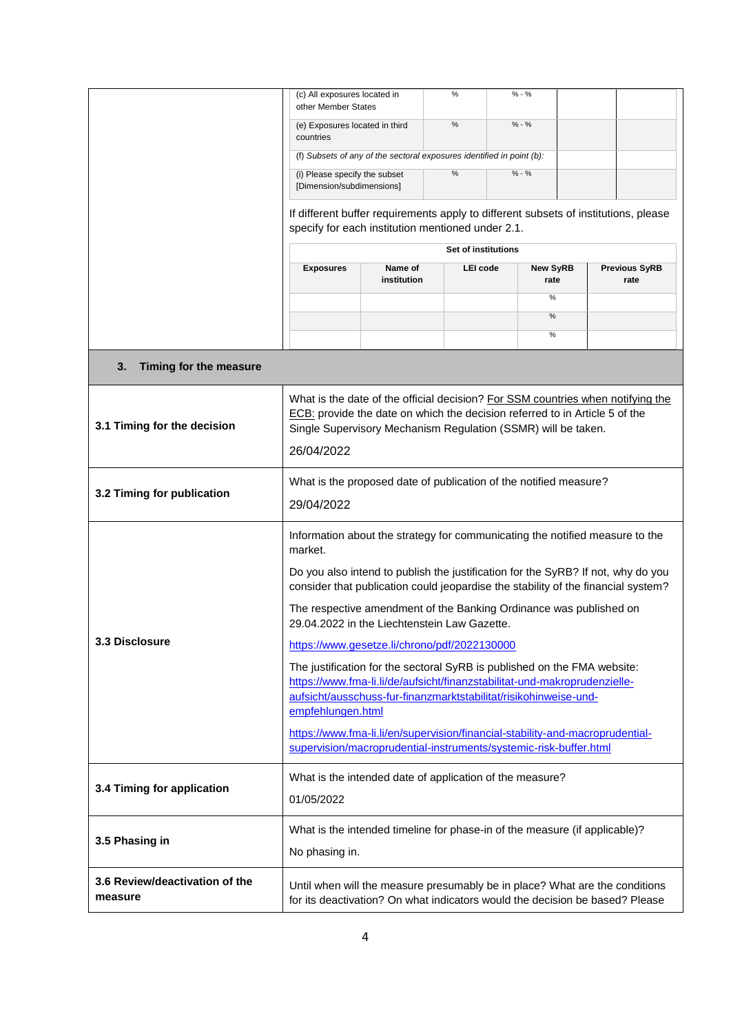|                                           | (c) All exposures located in<br>other Member States                                                                                                                                                                             |                        | %                   | $% - %$                                                                             |                              |  |
|-------------------------------------------|---------------------------------------------------------------------------------------------------------------------------------------------------------------------------------------------------------------------------------|------------------------|---------------------|-------------------------------------------------------------------------------------|------------------------------|--|
|                                           | (e) Exposures located in third<br>countries                                                                                                                                                                                     |                        | $\%$                | $% - %$                                                                             |                              |  |
|                                           | (f) Subsets of any of the sectoral exposures identified in point (b):                                                                                                                                                           |                        |                     |                                                                                     |                              |  |
|                                           | (i) Please specify the subset<br>[Dimension/subdimensions]                                                                                                                                                                      |                        | $\%$                | $% - %$                                                                             |                              |  |
|                                           |                                                                                                                                                                                                                                 |                        |                     | If different buffer requirements apply to different subsets of institutions, please |                              |  |
|                                           | specify for each institution mentioned under 2.1.                                                                                                                                                                               |                        |                     |                                                                                     |                              |  |
|                                           |                                                                                                                                                                                                                                 |                        | Set of institutions |                                                                                     |                              |  |
|                                           | <b>Exposures</b>                                                                                                                                                                                                                | Name of<br>institution | LEI code            | <b>New SyRB</b><br>rate                                                             | <b>Previous SyRB</b><br>rate |  |
|                                           |                                                                                                                                                                                                                                 |                        |                     | $\%$                                                                                |                              |  |
|                                           |                                                                                                                                                                                                                                 |                        |                     | $\%$<br>$\%$                                                                        |                              |  |
|                                           |                                                                                                                                                                                                                                 |                        |                     |                                                                                     |                              |  |
| 3.<br>Timing for the measure              |                                                                                                                                                                                                                                 |                        |                     |                                                                                     |                              |  |
| 3.1 Timing for the decision               | What is the date of the official decision? For SSM countries when notifying the<br>ECB: provide the date on which the decision referred to in Article 5 of the<br>Single Supervisory Mechanism Regulation (SSMR) will be taken. |                        |                     |                                                                                     |                              |  |
|                                           | 26/04/2022                                                                                                                                                                                                                      |                        |                     |                                                                                     |                              |  |
|                                           | What is the proposed date of publication of the notified measure?                                                                                                                                                               |                        |                     |                                                                                     |                              |  |
| 3.2 Timing for publication                | 29/04/2022                                                                                                                                                                                                                      |                        |                     |                                                                                     |                              |  |
|                                           | Information about the strategy for communicating the notified measure to the<br>market.                                                                                                                                         |                        |                     |                                                                                     |                              |  |
|                                           | Do you also intend to publish the justification for the SyRB? If not, why do you<br>consider that publication could jeopardise the stability of the financial system?                                                           |                        |                     |                                                                                     |                              |  |
|                                           | The respective amendment of the Banking Ordinance was published on<br>29.04.2022 in the Liechtenstein Law Gazette.                                                                                                              |                        |                     |                                                                                     |                              |  |
| 3.3 Disclosure                            | https://www.gesetze.li/chrono/pdf/2022130000                                                                                                                                                                                    |                        |                     |                                                                                     |                              |  |
|                                           | The justification for the sectoral SyRB is published on the FMA website:<br>https://www.fma-li.li/de/aufsicht/finanzstabilitat-und-makroprudenzielle-                                                                           |                        |                     |                                                                                     |                              |  |
|                                           | aufsicht/ausschuss-fur-finanzmarktstabilitat/risikohinweise-und-<br>empfehlungen.html                                                                                                                                           |                        |                     |                                                                                     |                              |  |
|                                           | https://www.fma-li.li/en/supervision/financial-stability-and-macroprudential-<br>supervision/macroprudential-instruments/systemic-risk-buffer.html                                                                              |                        |                     |                                                                                     |                              |  |
| 3.4 Timing for application                | What is the intended date of application of the measure?                                                                                                                                                                        |                        |                     |                                                                                     |                              |  |
|                                           | 01/05/2022                                                                                                                                                                                                                      |                        |                     |                                                                                     |                              |  |
| 3.5 Phasing in                            | No phasing in.                                                                                                                                                                                                                  |                        |                     | What is the intended timeline for phase-in of the measure (if applicable)?          |                              |  |
| 3.6 Review/deactivation of the<br>measure | Until when will the measure presumably be in place? What are the conditions<br>for its deactivation? On what indicators would the decision be based? Please                                                                     |                        |                     |                                                                                     |                              |  |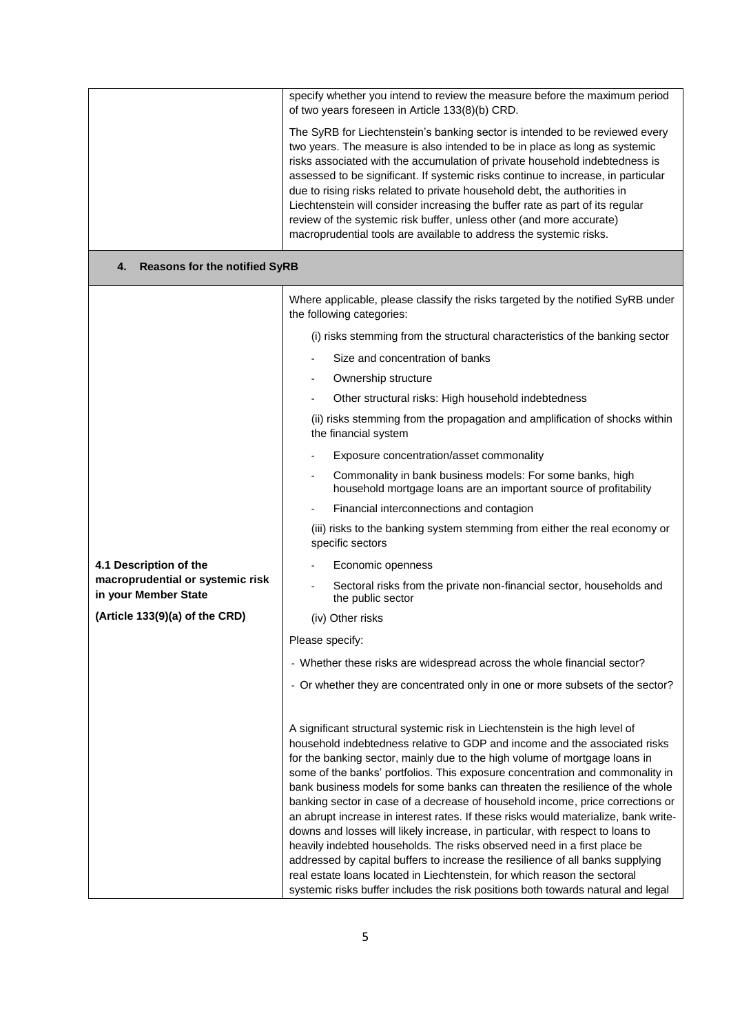|                                                          | specify whether you intend to review the measure before the maximum period<br>of two years foreseen in Article 133(8)(b) CRD.                                                                                                                                                                                                                                                                                                                                                                                                                                                                                                                                                                                                                                                                                                                                                                                                                                                                       |
|----------------------------------------------------------|-----------------------------------------------------------------------------------------------------------------------------------------------------------------------------------------------------------------------------------------------------------------------------------------------------------------------------------------------------------------------------------------------------------------------------------------------------------------------------------------------------------------------------------------------------------------------------------------------------------------------------------------------------------------------------------------------------------------------------------------------------------------------------------------------------------------------------------------------------------------------------------------------------------------------------------------------------------------------------------------------------|
|                                                          | The SyRB for Liechtenstein's banking sector is intended to be reviewed every<br>two years. The measure is also intended to be in place as long as systemic<br>risks associated with the accumulation of private household indebtedness is<br>assessed to be significant. If systemic risks continue to increase, in particular<br>due to rising risks related to private household debt, the authorities in<br>Liechtenstein will consider increasing the buffer rate as part of its regular<br>review of the systemic risk buffer, unless other (and more accurate)<br>macroprudential tools are available to address the systemic risks.                                                                                                                                                                                                                                                                                                                                                          |
| <b>Reasons for the notified SyRB</b><br>4.               |                                                                                                                                                                                                                                                                                                                                                                                                                                                                                                                                                                                                                                                                                                                                                                                                                                                                                                                                                                                                     |
|                                                          | Where applicable, please classify the risks targeted by the notified SyRB under<br>the following categories:                                                                                                                                                                                                                                                                                                                                                                                                                                                                                                                                                                                                                                                                                                                                                                                                                                                                                        |
|                                                          | (i) risks stemming from the structural characteristics of the banking sector                                                                                                                                                                                                                                                                                                                                                                                                                                                                                                                                                                                                                                                                                                                                                                                                                                                                                                                        |
|                                                          | Size and concentration of banks                                                                                                                                                                                                                                                                                                                                                                                                                                                                                                                                                                                                                                                                                                                                                                                                                                                                                                                                                                     |
|                                                          | Ownership structure                                                                                                                                                                                                                                                                                                                                                                                                                                                                                                                                                                                                                                                                                                                                                                                                                                                                                                                                                                                 |
|                                                          | Other structural risks: High household indebtedness                                                                                                                                                                                                                                                                                                                                                                                                                                                                                                                                                                                                                                                                                                                                                                                                                                                                                                                                                 |
|                                                          | (ii) risks stemming from the propagation and amplification of shocks within<br>the financial system                                                                                                                                                                                                                                                                                                                                                                                                                                                                                                                                                                                                                                                                                                                                                                                                                                                                                                 |
|                                                          | Exposure concentration/asset commonality                                                                                                                                                                                                                                                                                                                                                                                                                                                                                                                                                                                                                                                                                                                                                                                                                                                                                                                                                            |
|                                                          | Commonality in bank business models: For some banks, high<br>household mortgage loans are an important source of profitability                                                                                                                                                                                                                                                                                                                                                                                                                                                                                                                                                                                                                                                                                                                                                                                                                                                                      |
|                                                          | Financial interconnections and contagion                                                                                                                                                                                                                                                                                                                                                                                                                                                                                                                                                                                                                                                                                                                                                                                                                                                                                                                                                            |
|                                                          | (iii) risks to the banking system stemming from either the real economy or<br>specific sectors                                                                                                                                                                                                                                                                                                                                                                                                                                                                                                                                                                                                                                                                                                                                                                                                                                                                                                      |
| 4.1 Description of the                                   | Economic openness                                                                                                                                                                                                                                                                                                                                                                                                                                                                                                                                                                                                                                                                                                                                                                                                                                                                                                                                                                                   |
| macroprudential or systemic risk<br>in your Member State | Sectoral risks from the private non-financial sector, households and<br>the public sector                                                                                                                                                                                                                                                                                                                                                                                                                                                                                                                                                                                                                                                                                                                                                                                                                                                                                                           |
| (Article 133(9)(a) of the CRD)                           | (iv) Other risks                                                                                                                                                                                                                                                                                                                                                                                                                                                                                                                                                                                                                                                                                                                                                                                                                                                                                                                                                                                    |
|                                                          | Please specify:                                                                                                                                                                                                                                                                                                                                                                                                                                                                                                                                                                                                                                                                                                                                                                                                                                                                                                                                                                                     |
|                                                          | - Whether these risks are widespread across the whole financial sector?                                                                                                                                                                                                                                                                                                                                                                                                                                                                                                                                                                                                                                                                                                                                                                                                                                                                                                                             |
|                                                          | - Or whether they are concentrated only in one or more subsets of the sector?                                                                                                                                                                                                                                                                                                                                                                                                                                                                                                                                                                                                                                                                                                                                                                                                                                                                                                                       |
|                                                          | A significant structural systemic risk in Liechtenstein is the high level of<br>household indebtedness relative to GDP and income and the associated risks<br>for the banking sector, mainly due to the high volume of mortgage loans in<br>some of the banks' portfolios. This exposure concentration and commonality in<br>bank business models for some banks can threaten the resilience of the whole<br>banking sector in case of a decrease of household income, price corrections or<br>an abrupt increase in interest rates. If these risks would materialize, bank write-<br>downs and losses will likely increase, in particular, with respect to loans to<br>heavily indebted households. The risks observed need in a first place be<br>addressed by capital buffers to increase the resilience of all banks supplying<br>real estate loans located in Liechtenstein, for which reason the sectoral<br>systemic risks buffer includes the risk positions both towards natural and legal |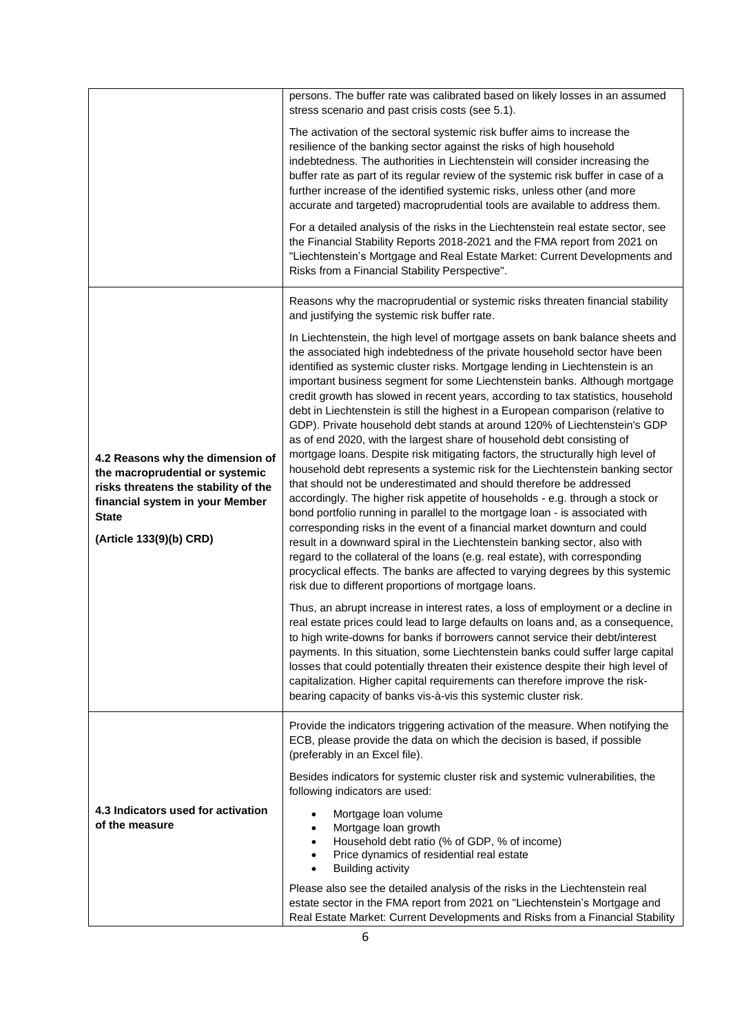|                                                                                                                                                                                           | persons. The buffer rate was calibrated based on likely losses in an assumed<br>stress scenario and past crisis costs (see 5.1).                                                                                                                                                                                                                                                                                                                                                                                                                                                                                                                                                                                                                                                                                                                                                                                                                                                                                                                                                                                                                                                                                                                                                                                                                                                                                                                              |
|-------------------------------------------------------------------------------------------------------------------------------------------------------------------------------------------|---------------------------------------------------------------------------------------------------------------------------------------------------------------------------------------------------------------------------------------------------------------------------------------------------------------------------------------------------------------------------------------------------------------------------------------------------------------------------------------------------------------------------------------------------------------------------------------------------------------------------------------------------------------------------------------------------------------------------------------------------------------------------------------------------------------------------------------------------------------------------------------------------------------------------------------------------------------------------------------------------------------------------------------------------------------------------------------------------------------------------------------------------------------------------------------------------------------------------------------------------------------------------------------------------------------------------------------------------------------------------------------------------------------------------------------------------------------|
|                                                                                                                                                                                           | The activation of the sectoral systemic risk buffer aims to increase the<br>resilience of the banking sector against the risks of high household<br>indebtedness. The authorities in Liechtenstein will consider increasing the<br>buffer rate as part of its regular review of the systemic risk buffer in case of a<br>further increase of the identified systemic risks, unless other (and more<br>accurate and targeted) macroprudential tools are available to address them.                                                                                                                                                                                                                                                                                                                                                                                                                                                                                                                                                                                                                                                                                                                                                                                                                                                                                                                                                                             |
|                                                                                                                                                                                           | For a detailed analysis of the risks in the Liechtenstein real estate sector, see<br>the Financial Stability Reports 2018-2021 and the FMA report from 2021 on<br>"Liechtenstein's Mortgage and Real Estate Market: Current Developments and<br>Risks from a Financial Stability Perspective".                                                                                                                                                                                                                                                                                                                                                                                                                                                                                                                                                                                                                                                                                                                                                                                                                                                                                                                                                                                                                                                                                                                                                                |
|                                                                                                                                                                                           | Reasons why the macroprudential or systemic risks threaten financial stability<br>and justifying the systemic risk buffer rate.                                                                                                                                                                                                                                                                                                                                                                                                                                                                                                                                                                                                                                                                                                                                                                                                                                                                                                                                                                                                                                                                                                                                                                                                                                                                                                                               |
| 4.2 Reasons why the dimension of<br>the macroprudential or systemic<br>risks threatens the stability of the<br>financial system in your Member<br><b>State</b><br>(Article 133(9)(b) CRD) | In Liechtenstein, the high level of mortgage assets on bank balance sheets and<br>the associated high indebtedness of the private household sector have been<br>identified as systemic cluster risks. Mortgage lending in Liechtenstein is an<br>important business segment for some Liechtenstein banks. Although mortgage<br>credit growth has slowed in recent years, according to tax statistics, household<br>debt in Liechtenstein is still the highest in a European comparison (relative to<br>GDP). Private household debt stands at around 120% of Liechtenstein's GDP<br>as of end 2020, with the largest share of household debt consisting of<br>mortgage loans. Despite risk mitigating factors, the structurally high level of<br>household debt represents a systemic risk for the Liechtenstein banking sector<br>that should not be underestimated and should therefore be addressed<br>accordingly. The higher risk appetite of households - e.g. through a stock or<br>bond portfolio running in parallel to the mortgage loan - is associated with<br>corresponding risks in the event of a financial market downturn and could<br>result in a downward spiral in the Liechtenstein banking sector, also with<br>regard to the collateral of the loans (e.g. real estate), with corresponding<br>procyclical effects. The banks are affected to varying degrees by this systemic<br>risk due to different proportions of mortgage loans. |
|                                                                                                                                                                                           | Thus, an abrupt increase in interest rates, a loss of employment or a decline in<br>real estate prices could lead to large defaults on loans and, as a consequence,<br>to high write-downs for banks if borrowers cannot service their debt/interest<br>payments. In this situation, some Liechtenstein banks could suffer large capital<br>losses that could potentially threaten their existence despite their high level of<br>capitalization. Higher capital requirements can therefore improve the risk-<br>bearing capacity of banks vis-à-vis this systemic cluster risk.                                                                                                                                                                                                                                                                                                                                                                                                                                                                                                                                                                                                                                                                                                                                                                                                                                                                              |
|                                                                                                                                                                                           | Provide the indicators triggering activation of the measure. When notifying the<br>ECB, please provide the data on which the decision is based, if possible<br>(preferably in an Excel file).                                                                                                                                                                                                                                                                                                                                                                                                                                                                                                                                                                                                                                                                                                                                                                                                                                                                                                                                                                                                                                                                                                                                                                                                                                                                 |
|                                                                                                                                                                                           | Besides indicators for systemic cluster risk and systemic vulnerabilities, the<br>following indicators are used:                                                                                                                                                                                                                                                                                                                                                                                                                                                                                                                                                                                                                                                                                                                                                                                                                                                                                                                                                                                                                                                                                                                                                                                                                                                                                                                                              |
| 4.3 Indicators used for activation<br>of the measure                                                                                                                                      | Mortgage loan volume<br>Mortgage loan growth<br>Household debt ratio (% of GDP, % of income)<br>Price dynamics of residential real estate<br><b>Building activity</b><br>$\bullet$                                                                                                                                                                                                                                                                                                                                                                                                                                                                                                                                                                                                                                                                                                                                                                                                                                                                                                                                                                                                                                                                                                                                                                                                                                                                            |
|                                                                                                                                                                                           | Please also see the detailed analysis of the risks in the Liechtenstein real<br>estate sector in the FMA report from 2021 on "Liechtenstein's Mortgage and<br>Real Estate Market: Current Developments and Risks from a Financial Stability                                                                                                                                                                                                                                                                                                                                                                                                                                                                                                                                                                                                                                                                                                                                                                                                                                                                                                                                                                                                                                                                                                                                                                                                                   |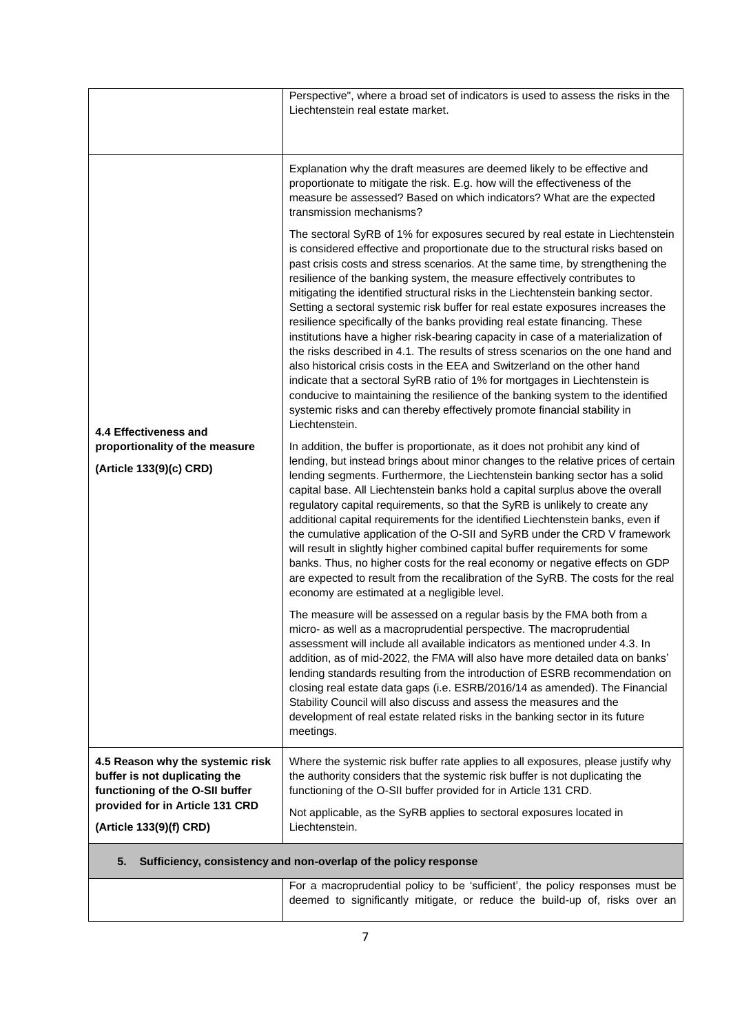|                                                                                                      | Perspective", where a broad set of indicators is used to assess the risks in the<br>Liechtenstein real estate market.                                                                                                                                                                                                                                                                                                                                                                                                                                                                                                                                                                                                                                                                                                                                                                                                                                                                                                                                                                                   |
|------------------------------------------------------------------------------------------------------|---------------------------------------------------------------------------------------------------------------------------------------------------------------------------------------------------------------------------------------------------------------------------------------------------------------------------------------------------------------------------------------------------------------------------------------------------------------------------------------------------------------------------------------------------------------------------------------------------------------------------------------------------------------------------------------------------------------------------------------------------------------------------------------------------------------------------------------------------------------------------------------------------------------------------------------------------------------------------------------------------------------------------------------------------------------------------------------------------------|
| 4.4 Effectiveness and<br>proportionality of the measure<br>(Article 133(9)(c) CRD)                   | Explanation why the draft measures are deemed likely to be effective and<br>proportionate to mitigate the risk. E.g. how will the effectiveness of the<br>measure be assessed? Based on which indicators? What are the expected<br>transmission mechanisms?                                                                                                                                                                                                                                                                                                                                                                                                                                                                                                                                                                                                                                                                                                                                                                                                                                             |
|                                                                                                      | The sectoral SyRB of 1% for exposures secured by real estate in Liechtenstein<br>is considered effective and proportionate due to the structural risks based on<br>past crisis costs and stress scenarios. At the same time, by strengthening the<br>resilience of the banking system, the measure effectively contributes to<br>mitigating the identified structural risks in the Liechtenstein banking sector.<br>Setting a sectoral systemic risk buffer for real estate exposures increases the<br>resilience specifically of the banks providing real estate financing. These<br>institutions have a higher risk-bearing capacity in case of a materialization of<br>the risks described in 4.1. The results of stress scenarios on the one hand and<br>also historical crisis costs in the EEA and Switzerland on the other hand<br>indicate that a sectoral SyRB ratio of 1% for mortgages in Liechtenstein is<br>conducive to maintaining the resilience of the banking system to the identified<br>systemic risks and can thereby effectively promote financial stability in<br>Liechtenstein. |
|                                                                                                      | In addition, the buffer is proportionate, as it does not prohibit any kind of<br>lending, but instead brings about minor changes to the relative prices of certain<br>lending segments. Furthermore, the Liechtenstein banking sector has a solid<br>capital base. All Liechtenstein banks hold a capital surplus above the overall<br>regulatory capital requirements, so that the SyRB is unlikely to create any<br>additional capital requirements for the identified Liechtenstein banks, even if<br>the cumulative application of the O-SII and SyRB under the CRD V framework<br>will result in slightly higher combined capital buffer requirements for some<br>banks. Thus, no higher costs for the real economy or negative effects on GDP<br>are expected to result from the recalibration of the SyRB. The costs for the real<br>economy are estimated at a negligible level.                                                                                                                                                                                                                |
|                                                                                                      | The measure will be assessed on a regular basis by the FMA both from a<br>micro- as well as a macroprudential perspective. The macroprudential<br>assessment will include all available indicators as mentioned under 4.3. In<br>addition, as of mid-2022, the FMA will also have more detailed data on banks'<br>lending standards resulting from the introduction of ESRB recommendation on<br>closing real estate data gaps (i.e. ESRB/2016/14 as amended). The Financial<br>Stability Council will also discuss and assess the measures and the<br>development of real estate related risks in the banking sector in its future<br>meetings.                                                                                                                                                                                                                                                                                                                                                                                                                                                        |
| 4.5 Reason why the systemic risk<br>buffer is not duplicating the<br>functioning of the O-SII buffer | Where the systemic risk buffer rate applies to all exposures, please justify why<br>the authority considers that the systemic risk buffer is not duplicating the<br>functioning of the O-SII buffer provided for in Article 131 CRD.                                                                                                                                                                                                                                                                                                                                                                                                                                                                                                                                                                                                                                                                                                                                                                                                                                                                    |
| provided for in Article 131 CRD<br>(Article 133(9)(f) CRD)                                           | Not applicable, as the SyRB applies to sectoral exposures located in<br>Liechtenstein.                                                                                                                                                                                                                                                                                                                                                                                                                                                                                                                                                                                                                                                                                                                                                                                                                                                                                                                                                                                                                  |
| 5.                                                                                                   | Sufficiency, consistency and non-overlap of the policy response                                                                                                                                                                                                                                                                                                                                                                                                                                                                                                                                                                                                                                                                                                                                                                                                                                                                                                                                                                                                                                         |
|                                                                                                      | For a macroprudential policy to be 'sufficient', the policy responses must be<br>deemed to significantly mitigate, or reduce the build-up of, risks over an                                                                                                                                                                                                                                                                                                                                                                                                                                                                                                                                                                                                                                                                                                                                                                                                                                                                                                                                             |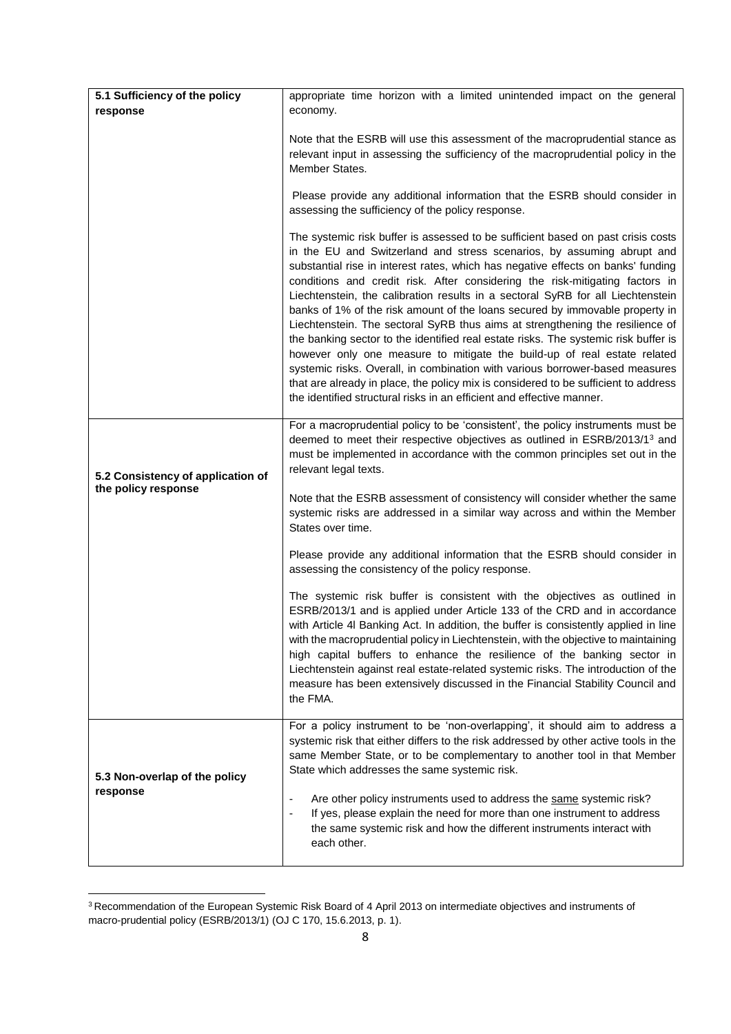| 5.1 Sufficiency of the policy                            | appropriate time horizon with a limited unintended impact on the general                                                                                                                                                                                                                                                                                                                                                                                                                                                                                                                                                                                                                                                                                                                                                                                                                                                                                                                              |  |  |
|----------------------------------------------------------|-------------------------------------------------------------------------------------------------------------------------------------------------------------------------------------------------------------------------------------------------------------------------------------------------------------------------------------------------------------------------------------------------------------------------------------------------------------------------------------------------------------------------------------------------------------------------------------------------------------------------------------------------------------------------------------------------------------------------------------------------------------------------------------------------------------------------------------------------------------------------------------------------------------------------------------------------------------------------------------------------------|--|--|
| response                                                 | economy.                                                                                                                                                                                                                                                                                                                                                                                                                                                                                                                                                                                                                                                                                                                                                                                                                                                                                                                                                                                              |  |  |
|                                                          | Note that the ESRB will use this assessment of the macroprudential stance as<br>relevant input in assessing the sufficiency of the macroprudential policy in the<br>Member States.<br>Please provide any additional information that the ESRB should consider in<br>assessing the sufficiency of the policy response.                                                                                                                                                                                                                                                                                                                                                                                                                                                                                                                                                                                                                                                                                 |  |  |
|                                                          | The systemic risk buffer is assessed to be sufficient based on past crisis costs<br>in the EU and Switzerland and stress scenarios, by assuming abrupt and<br>substantial rise in interest rates, which has negative effects on banks' funding<br>conditions and credit risk. After considering the risk-mitigating factors in<br>Liechtenstein, the calibration results in a sectoral SyRB for all Liechtenstein<br>banks of 1% of the risk amount of the loans secured by immovable property in<br>Liechtenstein. The sectoral SyRB thus aims at strengthening the resilience of<br>the banking sector to the identified real estate risks. The systemic risk buffer is<br>however only one measure to mitigate the build-up of real estate related<br>systemic risks. Overall, in combination with various borrower-based measures<br>that are already in place, the policy mix is considered to be sufficient to address<br>the identified structural risks in an efficient and effective manner. |  |  |
| 5.2 Consistency of application of<br>the policy response | For a macroprudential policy to be 'consistent', the policy instruments must be<br>deemed to meet their respective objectives as outlined in ESRB/2013/13 and<br>must be implemented in accordance with the common principles set out in the<br>relevant legal texts.                                                                                                                                                                                                                                                                                                                                                                                                                                                                                                                                                                                                                                                                                                                                 |  |  |
|                                                          | Note that the ESRB assessment of consistency will consider whether the same<br>systemic risks are addressed in a similar way across and within the Member<br>States over time.                                                                                                                                                                                                                                                                                                                                                                                                                                                                                                                                                                                                                                                                                                                                                                                                                        |  |  |
|                                                          | Please provide any additional information that the ESRB should consider in<br>assessing the consistency of the policy response.                                                                                                                                                                                                                                                                                                                                                                                                                                                                                                                                                                                                                                                                                                                                                                                                                                                                       |  |  |
|                                                          | The systemic risk buffer is consistent with the objectives as outlined in<br>ESRB/2013/1 and is applied under Article 133 of the CRD and in accordance<br>with Article 4I Banking Act. In addition, the buffer is consistently applied in line<br>with the macroprudential policy in Liechtenstein, with the objective to maintaining<br>high capital buffers to enhance the resilience of the banking sector in<br>Liechtenstein against real estate-related systemic risks. The introduction of the<br>measure has been extensively discussed in the Financial Stability Council and<br>the FMA.                                                                                                                                                                                                                                                                                                                                                                                                    |  |  |
| 5.3 Non-overlap of the policy<br>response                | For a policy instrument to be 'non-overlapping', it should aim to address a<br>systemic risk that either differs to the risk addressed by other active tools in the<br>same Member State, or to be complementary to another tool in that Member<br>State which addresses the same systemic risk.                                                                                                                                                                                                                                                                                                                                                                                                                                                                                                                                                                                                                                                                                                      |  |  |
|                                                          | Are other policy instruments used to address the same systemic risk?<br>If yes, please explain the need for more than one instrument to address<br>the same systemic risk and how the different instruments interact with<br>each other.                                                                                                                                                                                                                                                                                                                                                                                                                                                                                                                                                                                                                                                                                                                                                              |  |  |

<sup>&</sup>lt;sup>3</sup> Recommendation of the European Systemic Risk Board of 4 April 2013 on intermediate objectives and instruments of macro-prudential policy (ESRB/2013/1) (OJ C 170, 15.6.2013, p. 1).

 $\overline{a}$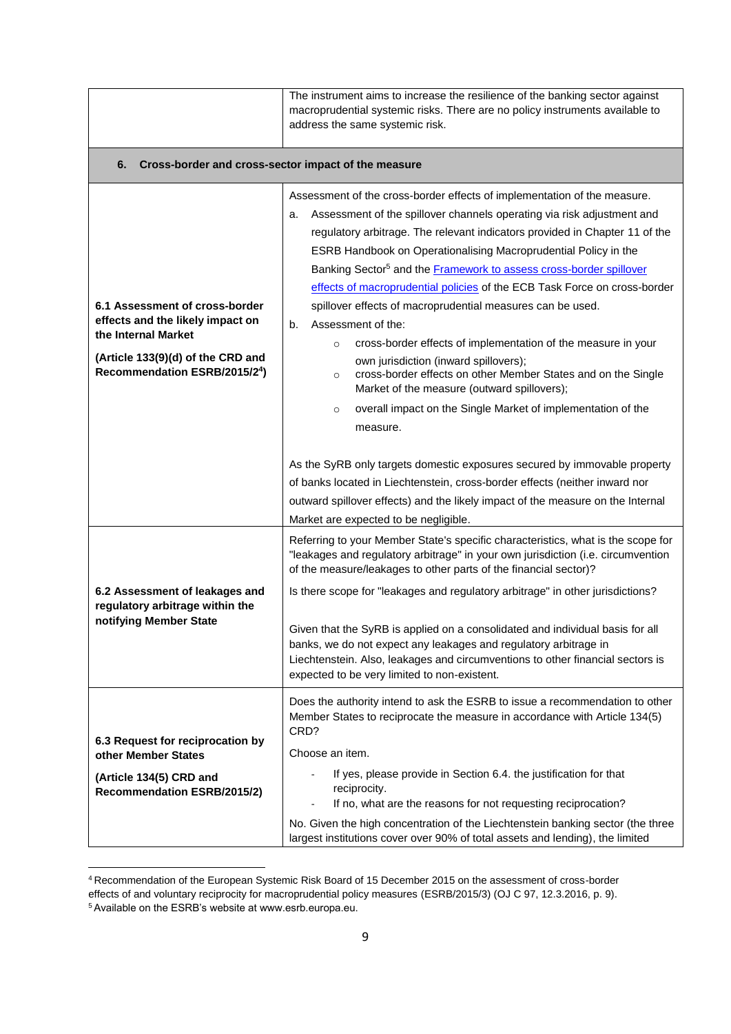|                                                                                                                                                                | The instrument aims to increase the resilience of the banking sector against<br>macroprudential systemic risks. There are no policy instruments available to<br>address the same systemic risk.                                                                                                                                                                                                                                                                                                                                                                                                                                                                                                                                                                                                                                                                                                                                                                                                                                                                                                                                                                  |  |
|----------------------------------------------------------------------------------------------------------------------------------------------------------------|------------------------------------------------------------------------------------------------------------------------------------------------------------------------------------------------------------------------------------------------------------------------------------------------------------------------------------------------------------------------------------------------------------------------------------------------------------------------------------------------------------------------------------------------------------------------------------------------------------------------------------------------------------------------------------------------------------------------------------------------------------------------------------------------------------------------------------------------------------------------------------------------------------------------------------------------------------------------------------------------------------------------------------------------------------------------------------------------------------------------------------------------------------------|--|
| Cross-border and cross-sector impact of the measure<br>6.                                                                                                      |                                                                                                                                                                                                                                                                                                                                                                                                                                                                                                                                                                                                                                                                                                                                                                                                                                                                                                                                                                                                                                                                                                                                                                  |  |
| 6.1 Assessment of cross-border<br>effects and the likely impact on<br>the Internal Market<br>(Article 133(9)(d) of the CRD and<br>Recommendation ESRB/2015/24) | Assessment of the cross-border effects of implementation of the measure.<br>Assessment of the spillover channels operating via risk adjustment and<br>a.<br>regulatory arbitrage. The relevant indicators provided in Chapter 11 of the<br>ESRB Handbook on Operationalising Macroprudential Policy in the<br>Banking Sector <sup>5</sup> and the <b>Framework</b> to assess cross-border spillover<br>effects of macroprudential policies of the ECB Task Force on cross-border<br>spillover effects of macroprudential measures can be used.<br>Assessment of the:<br>b.<br>cross-border effects of implementation of the measure in your<br>$\circ$<br>own jurisdiction (inward spillovers);<br>cross-border effects on other Member States and on the Single<br>$\circ$<br>Market of the measure (outward spillovers);<br>overall impact on the Single Market of implementation of the<br>$\circ$<br>measure.<br>As the SyRB only targets domestic exposures secured by immovable property<br>of banks located in Liechtenstein, cross-border effects (neither inward nor<br>outward spillover effects) and the likely impact of the measure on the Internal |  |
| 6.2 Assessment of leakages and<br>regulatory arbitrage within the<br>notifying Member State                                                                    | Market are expected to be negligible.<br>Referring to your Member State's specific characteristics, what is the scope for<br>"leakages and regulatory arbitrage" in your own jurisdiction (i.e. circumvention<br>of the measure/leakages to other parts of the financial sector)?<br>Is there scope for "leakages and regulatory arbitrage" in other jurisdictions?<br>Given that the SyRB is applied on a consolidated and individual basis for all<br>banks, we do not expect any leakages and regulatory arbitrage in<br>Liechtenstein. Also, leakages and circumventions to other financial sectors is<br>expected to be very limited to non-existent.                                                                                                                                                                                                                                                                                                                                                                                                                                                                                                       |  |
| 6.3 Request for reciprocation by<br>other Member States<br>(Article 134(5) CRD and<br><b>Recommendation ESRB/2015/2)</b>                                       | Does the authority intend to ask the ESRB to issue a recommendation to other<br>Member States to reciprocate the measure in accordance with Article 134(5)<br>CRD?<br>Choose an item.<br>If yes, please provide in Section 6.4. the justification for that<br>$\overline{a}$<br>reciprocity.<br>If no, what are the reasons for not requesting reciprocation?<br>No. Given the high concentration of the Liechtenstein banking sector (the three<br>largest institutions cover over 90% of total assets and lending), the limited                                                                                                                                                                                                                                                                                                                                                                                                                                                                                                                                                                                                                                |  |

**<sup>.</sup>** <sup>4</sup> Recommendation of the European Systemic Risk Board of 15 December 2015 on the assessment of cross-border effects of and voluntary reciprocity for macroprudential policy measures (ESRB/2015/3) (OJ C 97, 12.3.2016, p. 9). <sup>5</sup> Available on the ESRB's website at www.esrb.europa.eu.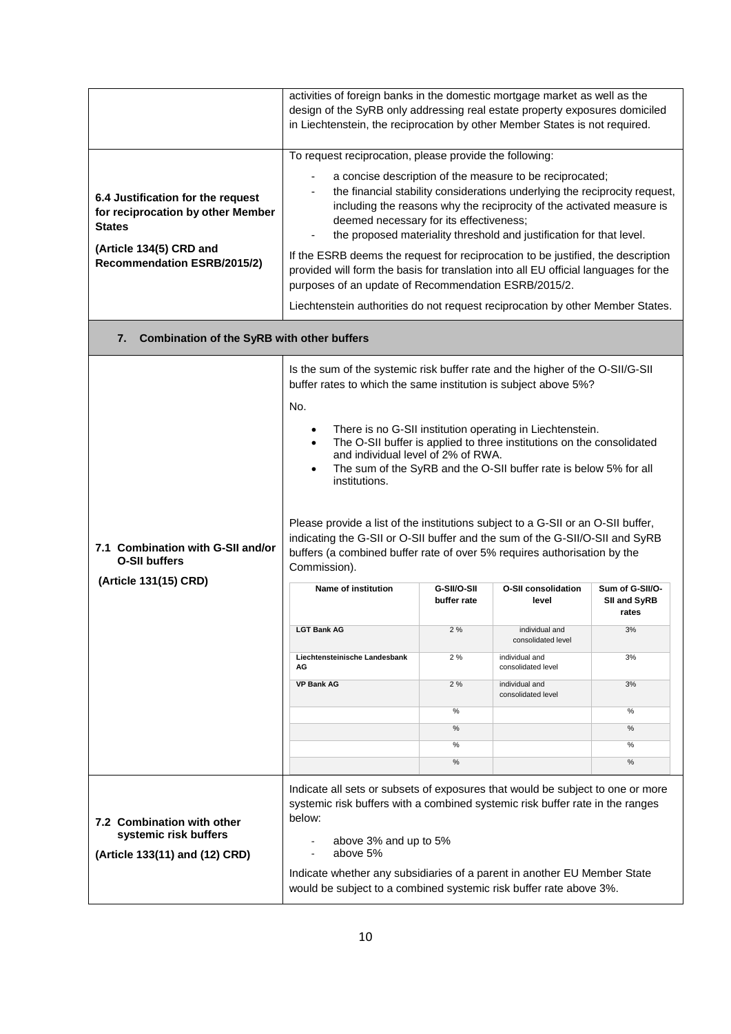|                                                                                         | activities of foreign banks in the domestic mortgage market as well as the<br>design of the SyRB only addressing real estate property exposures domiciled<br>in Liechtenstein, the reciprocation by other Member States is not required.                                                                                                                                                                                                                                                                                                                                                                                                                                                                                                                                                                                                                                                                                                                                                                          |           |                                                                                                                                                                                                                                                                                         |              |
|-----------------------------------------------------------------------------------------|-------------------------------------------------------------------------------------------------------------------------------------------------------------------------------------------------------------------------------------------------------------------------------------------------------------------------------------------------------------------------------------------------------------------------------------------------------------------------------------------------------------------------------------------------------------------------------------------------------------------------------------------------------------------------------------------------------------------------------------------------------------------------------------------------------------------------------------------------------------------------------------------------------------------------------------------------------------------------------------------------------------------|-----------|-----------------------------------------------------------------------------------------------------------------------------------------------------------------------------------------------------------------------------------------------------------------------------------------|--------------|
|                                                                                         | To request reciprocation, please provide the following:                                                                                                                                                                                                                                                                                                                                                                                                                                                                                                                                                                                                                                                                                                                                                                                                                                                                                                                                                           |           |                                                                                                                                                                                                                                                                                         |              |
| 6.4 Justification for the request<br>for reciprocation by other Member<br><b>States</b> | deemed necessary for its effectiveness;                                                                                                                                                                                                                                                                                                                                                                                                                                                                                                                                                                                                                                                                                                                                                                                                                                                                                                                                                                           |           | a concise description of the measure to be reciprocated;<br>the financial stability considerations underlying the reciprocity request,<br>including the reasons why the reciprocity of the activated measure is<br>the proposed materiality threshold and justification for that level. |              |
| (Article 134(5) CRD and<br><b>Recommendation ESRB/2015/2)</b>                           | If the ESRB deems the request for reciprocation to be justified, the description<br>provided will form the basis for translation into all EU official languages for the<br>purposes of an update of Recommendation ESRB/2015/2.                                                                                                                                                                                                                                                                                                                                                                                                                                                                                                                                                                                                                                                                                                                                                                                   |           |                                                                                                                                                                                                                                                                                         |              |
|                                                                                         | Liechtenstein authorities do not request reciprocation by other Member States.                                                                                                                                                                                                                                                                                                                                                                                                                                                                                                                                                                                                                                                                                                                                                                                                                                                                                                                                    |           |                                                                                                                                                                                                                                                                                         |              |
| <b>Combination of the SyRB with other buffers</b><br>7.                                 |                                                                                                                                                                                                                                                                                                                                                                                                                                                                                                                                                                                                                                                                                                                                                                                                                                                                                                                                                                                                                   |           |                                                                                                                                                                                                                                                                                         |              |
| 7.1 Combination with G-SII and/or<br><b>O-SII buffers</b><br>(Article 131(15) CRD)      | Is the sum of the systemic risk buffer rate and the higher of the O-SII/G-SII<br>buffer rates to which the same institution is subject above 5%?<br>No.<br>There is no G-SII institution operating in Liechtenstein.<br>$\bullet$<br>The O-SII buffer is applied to three institutions on the consolidated<br>$\bullet$<br>and individual level of 2% of RWA.<br>The sum of the SyRB and the O-SII buffer rate is below 5% for all<br>$\bullet$<br>institutions.<br>Please provide a list of the institutions subject to a G-SII or an O-SII buffer,<br>indicating the G-SII or O-SII buffer and the sum of the G-SII/O-SII and SyRB<br>buffers (a combined buffer rate of over 5% requires authorisation by the<br>Commission).<br>Name of institution<br>G-SII/O-SII<br><b>O-SII consolidation</b><br>Sum of G-SII/O-<br>buffer rate<br>level<br>SII and SyRB<br>rates<br><b>LGT Bank AG</b><br>2%<br>3%<br>individual and<br>consolidated level<br>2%<br>3%<br>Liechtensteinische Landesbank<br>individual and |           |                                                                                                                                                                                                                                                                                         |              |
|                                                                                         | AG<br><b>VP Bank AG</b>                                                                                                                                                                                                                                                                                                                                                                                                                                                                                                                                                                                                                                                                                                                                                                                                                                                                                                                                                                                           | 2%        | consolidated level<br>individual and                                                                                                                                                                                                                                                    | 3%           |
|                                                                                         |                                                                                                                                                                                                                                                                                                                                                                                                                                                                                                                                                                                                                                                                                                                                                                                                                                                                                                                                                                                                                   |           | consolidated level                                                                                                                                                                                                                                                                      |              |
|                                                                                         |                                                                                                                                                                                                                                                                                                                                                                                                                                                                                                                                                                                                                                                                                                                                                                                                                                                                                                                                                                                                                   | %<br>%    |                                                                                                                                                                                                                                                                                         | %<br>%       |
|                                                                                         |                                                                                                                                                                                                                                                                                                                                                                                                                                                                                                                                                                                                                                                                                                                                                                                                                                                                                                                                                                                                                   |           |                                                                                                                                                                                                                                                                                         |              |
|                                                                                         |                                                                                                                                                                                                                                                                                                                                                                                                                                                                                                                                                                                                                                                                                                                                                                                                                                                                                                                                                                                                                   | $\%$<br>% |                                                                                                                                                                                                                                                                                         | $\%$<br>$\%$ |
| 7.2 Combination with other<br>systemic risk buffers<br>(Article 133(11) and (12) CRD)   | Indicate all sets or subsets of exposures that would be subject to one or more<br>systemic risk buffers with a combined systemic risk buffer rate in the ranges<br>below:<br>above 3% and up to 5%<br>above 5%<br>Indicate whether any subsidiaries of a parent in another EU Member State<br>would be subject to a combined systemic risk buffer rate above 3%.                                                                                                                                                                                                                                                                                                                                                                                                                                                                                                                                                                                                                                                  |           |                                                                                                                                                                                                                                                                                         |              |